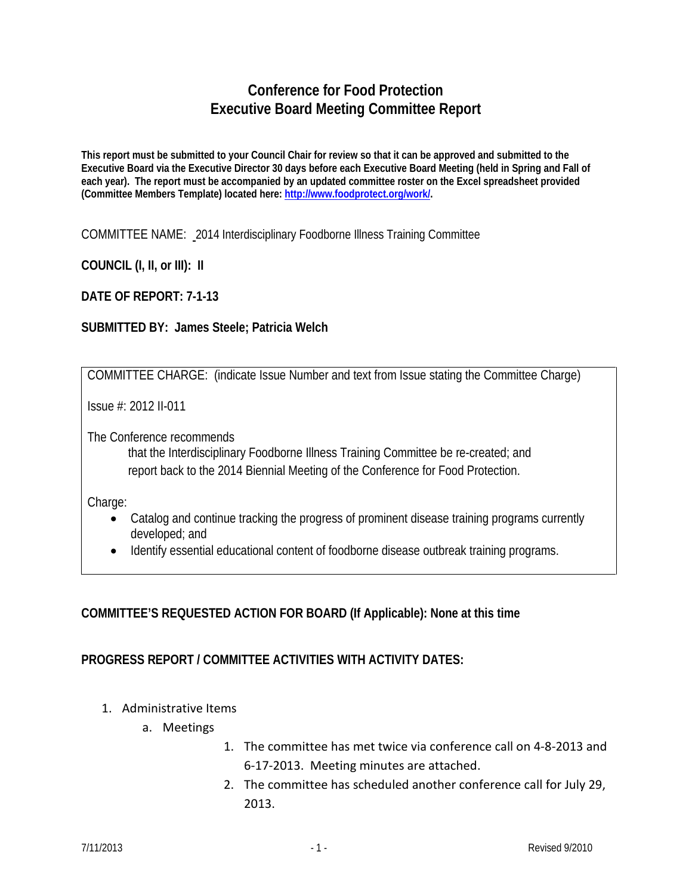## **Conference for Food Protection Executive Board Meeting Committee Report**

**This report must be submitted to your Council Chair for review so that it can be approved and submitted to the Executive Board via the Executive Director 30 days before each Executive Board Meeting (held in Spring and Fall of each year). The report must be accompanied by an updated committee roster on the Excel spreadsheet provided (Committee Members Template) located here: [http://www.foodprotect.org/work/.](http://www.foodprotect.org/work/)**

COMMITTEE NAME: 2014 Interdisciplinary Foodborne Illness Training Committee

**COUNCIL (I, II, or III): II**

**DATE OF REPORT: 7-1-13**

## **SUBMITTED BY: James Steele; Patricia Welch**

COMMITTEE CHARGE: (indicate Issue Number and text from Issue stating the Committee Charge)

Issue #: 2012 II-011

The Conference recommends

that the Interdisciplinary Foodborne Illness Training Committee be re-created; and report back to the 2014 Biennial Meeting of the Conference for Food Protection.

Charge:

- Catalog and continue tracking the progress of prominent disease training programs currently developed; and
- Identify essential educational content of foodborne disease outbreak training programs.

## **COMMITTEE'S REQUESTED ACTION FOR BOARD (If Applicable): None at this time**

## **PROGRESS REPORT / COMMITTEE ACTIVITIES WITH ACTIVITY DATES:**

- 1. Administrative Items
	- a. Meetings
- 1. The committee has met twice via conference call on 4-8-2013 and 6-17-2013. Meeting minutes are attached.
- 2. The committee has scheduled another conference call for July 29, 2013.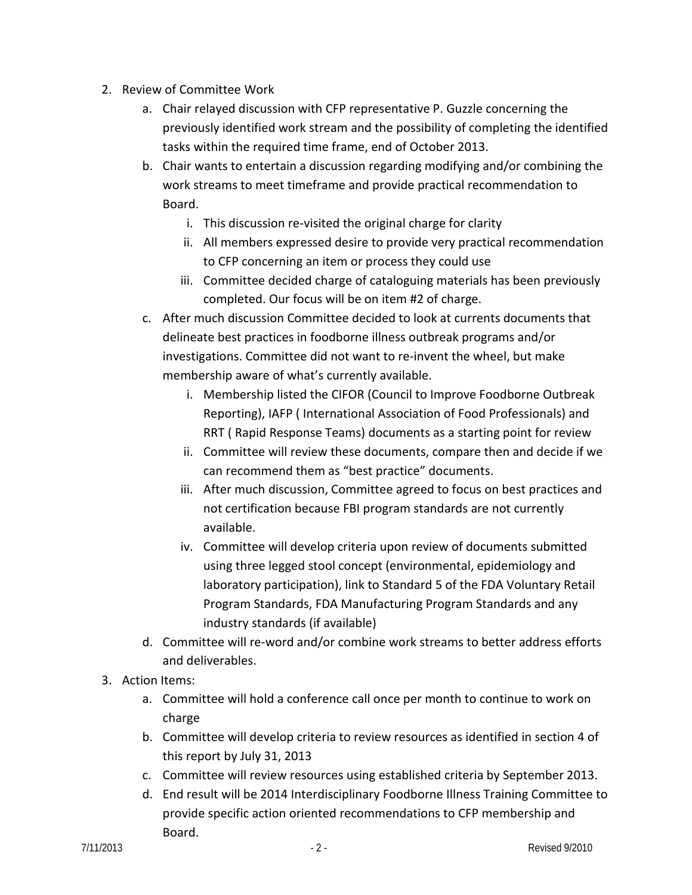- 2. Review of Committee Work
	- a. Chair relayed discussion with CFP representative P. Guzzle concerning the previously identified work stream and the possibility of completing the identified tasks within the required time frame, end of October 2013.
	- b. Chair wants to entertain a discussion regarding modifying and/or combining the work streams to meet timeframe and provide practical recommendation to Board.
		- i. This discussion re-visited the original charge for clarity
		- ii. All members expressed desire to provide very practical recommendation to CFP concerning an item or process they could use
		- iii. Committee decided charge of cataloguing materials has been previously completed. Our focus will be on item #2 of charge.
	- c. After much discussion Committee decided to look at currents documents that delineate best practices in foodborne illness outbreak programs and/or investigations. Committee did not want to re-invent the wheel, but make membership aware of what's currently available.
		- i. Membership listed the CIFOR (Council to Improve Foodborne Outbreak Reporting), IAFP ( International Association of Food Professionals) and RRT ( Rapid Response Teams) documents as a starting point for review
		- ii. Committee will review these documents, compare then and decide if we can recommend them as "best practice" documents.
		- iii. After much discussion, Committee agreed to focus on best practices and not certification because FBI program standards are not currently available.
		- iv. Committee will develop criteria upon review of documents submitted using three legged stool concept (environmental, epidemiology and laboratory participation), link to Standard 5 of the FDA Voluntary Retail Program Standards, FDA Manufacturing Program Standards and any industry standards (if available)
	- d. Committee will re-word and/or combine work streams to better address efforts and deliverables.
- 3. Action Items:
	- a. Committee will hold a conference call once per month to continue to work on charge
	- b. Committee will develop criteria to review resources as identified in section 4 of this report by July 31, 2013
	- c. Committee will review resources using established criteria by September 2013.
	- d. End result will be 2014 Interdisciplinary Foodborne Illness Training Committee to provide specific action oriented recommendations to CFP membership and Board.